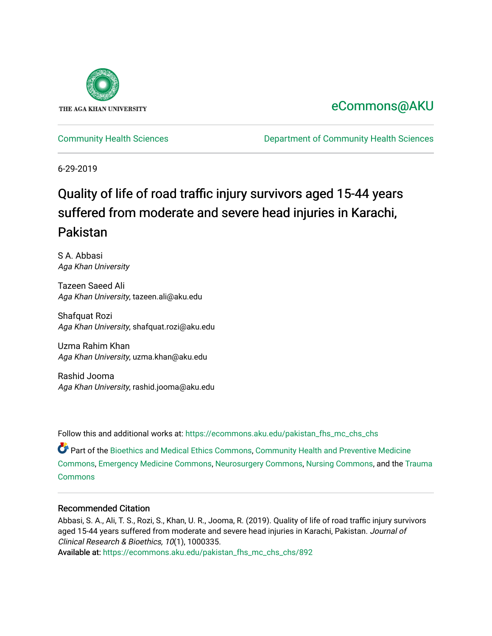

# [eCommons@AKU](https://ecommons.aku.edu/)

[Community Health Sciences](https://ecommons.aku.edu/pakistan_fhs_mc_chs_chs) [Department of Community Health Sciences](https://ecommons.aku.edu/pakistan_fhs_mc_chs) 

6-29-2019

# Quality of life of road traffic injury survivors aged 15-44 years suffered from moderate and severe head injuries in Karachi, Pakistan

S A. Abbasi Aga Khan University

Tazeen Saeed Ali Aga Khan University, tazeen.ali@aku.edu

Shafquat Rozi Aga Khan University, shafquat.rozi@aku.edu

Uzma Rahim Khan Aga Khan University, uzma.khan@aku.edu

Rashid Jooma Aga Khan University, rashid.jooma@aku.edu

Follow this and additional works at: [https://ecommons.aku.edu/pakistan\\_fhs\\_mc\\_chs\\_chs](https://ecommons.aku.edu/pakistan_fhs_mc_chs_chs?utm_source=ecommons.aku.edu%2Fpakistan_fhs_mc_chs_chs%2F892&utm_medium=PDF&utm_campaign=PDFCoverPages) 

Part of the [Bioethics and Medical Ethics Commons,](http://network.bepress.com/hgg/discipline/650?utm_source=ecommons.aku.edu%2Fpakistan_fhs_mc_chs_chs%2F892&utm_medium=PDF&utm_campaign=PDFCoverPages) [Community Health and Preventive Medicine](http://network.bepress.com/hgg/discipline/744?utm_source=ecommons.aku.edu%2Fpakistan_fhs_mc_chs_chs%2F892&utm_medium=PDF&utm_campaign=PDFCoverPages)  [Commons](http://network.bepress.com/hgg/discipline/744?utm_source=ecommons.aku.edu%2Fpakistan_fhs_mc_chs_chs%2F892&utm_medium=PDF&utm_campaign=PDFCoverPages), [Emergency Medicine Commons,](http://network.bepress.com/hgg/discipline/685?utm_source=ecommons.aku.edu%2Fpakistan_fhs_mc_chs_chs%2F892&utm_medium=PDF&utm_campaign=PDFCoverPages) [Neurosurgery Commons,](http://network.bepress.com/hgg/discipline/1428?utm_source=ecommons.aku.edu%2Fpakistan_fhs_mc_chs_chs%2F892&utm_medium=PDF&utm_campaign=PDFCoverPages) [Nursing Commons](http://network.bepress.com/hgg/discipline/718?utm_source=ecommons.aku.edu%2Fpakistan_fhs_mc_chs_chs%2F892&utm_medium=PDF&utm_campaign=PDFCoverPages), and the [Trauma](http://network.bepress.com/hgg/discipline/1240?utm_source=ecommons.aku.edu%2Fpakistan_fhs_mc_chs_chs%2F892&utm_medium=PDF&utm_campaign=PDFCoverPages) **[Commons](http://network.bepress.com/hgg/discipline/1240?utm_source=ecommons.aku.edu%2Fpakistan_fhs_mc_chs_chs%2F892&utm_medium=PDF&utm_campaign=PDFCoverPages)** 

#### Recommended Citation

Abbasi, S. A., Ali, T. S., Rozi, S., Khan, U. R., Jooma, R. (2019). Quality of life of road traffic injury survivors aged 15-44 years suffered from moderate and severe head injuries in Karachi, Pakistan. Journal of Clinical Research & Bioethics, 10(1), 1000335.

Available at: [https://ecommons.aku.edu/pakistan\\_fhs\\_mc\\_chs\\_chs/892](https://ecommons.aku.edu/pakistan_fhs_mc_chs_chs/892)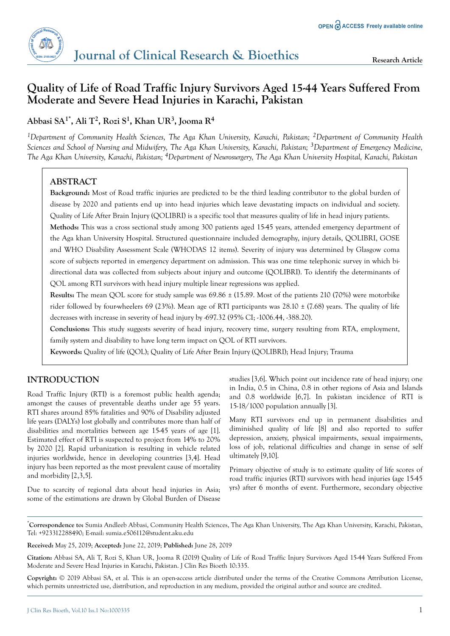## **Quality of Life of Road Traffic Injury Survivors Aged 15-44 Years Suffered From Moderate and Severe Head Injuries in Karachi, Pakistan**

## **Abbasi SA1\*, Ali T<sup>2</sup> , Rozi S<sup>1</sup> , Khan UR<sup>3</sup> , Jooma R<sup>4</sup>**

*<sup>1</sup>Department of Community Health Sciences, The Aga Khan University, Karachi, Pakistan; 2Department of Community Health Sciences and School of Nursing and Midwifery, The Aga Khan University, Karachi, Pakistan; 3Department of Emergency Medicine, The Aga Khan University, Karachi, Pakistan; 4Department of Neurosurgery, The Aga Khan University Hospital, Karachi, Pakistan*

## **ABSTRACT**

**Background:** Most of Road traffic injuries are predicted to be the third leading contributor to the global burden of disease by 2020 and patients end up into head injuries which leave devastating impacts on individual and society. Quality of Life After Brain Injury (QOLIBRI) is a specific tool that measures quality of life in head injury patients.

**Methods:** This was a cross sectional study among 300 patients aged 15-45 years, attended emergency department of the Aga khan University Hospital. Structured questionnaire included demography, injury details, QOLIBRI, GOSE and WHO Disability Assessment Scale (WHODAS 12 items). Severity of injury was determined by Glasgow coma score of subjects reported in emergency department on admission. This was one time telephonic survey in which bidirectional data was collected from subjects about injury and outcome (QOLIBRI). To identify the determinants of QOL among RTI survivors with head injury multiple linear regressions was applied.

**Results:** The mean QOL score for study sample was 69.86 ± (15.89. Most of the patients 210 (70%) were motorbike rider followed by four-wheelers 69 (23%). Mean age of RTI participants was  $28.10 \pm (7.68)$  years. The quality of life decreases with increase in severity of head injury by -697.32 (95% CI; -1006.44, -388.20).

**Conclusions:** This study suggests severity of head injury, recovery time, surgery resulting from RTA, employment, family system and disability to have long term impact on QOL of RTI survivors.

**Keywords:** Quality of life (QOL); Quality of Life After Brain Injury (QOLIBRI); Head Injury; Trauma

## **INTRODUCTION**

Road Traffic Injury (RTI) is a foremost public health agenda; amongst the causes of preventable deaths under age 55 years. RTI shares around 85% fatalities and 90% of Disability adjusted life years (DALYs) lost globally and contributes more than half of disabilities and mortalities between age 15-45 years of age [1]. Estimated effect of RTI is suspected to project from 14% to 20% by 2020 [2]. Rapid urbanization is resulting in vehicle related injuries worldwide, hence in developing countries [3,4]. Head injury has been reported as the most prevalent cause of mortality and morbidity [2,3,5].

Due to scarcity of regional data about head injuries in Asia; some of the estimations are drawn by Global Burden of Disease studies [3,6]. Which point out incidence rate of head injury; one in India, 0.5 in China, 0.8 in other regions of Asia and Islands and 0.8 worldwide [6,7]. In pakistan incidence of RTI is 15-18/1000 population annually [3].

Many RTI survivors end up in permanent disabilities and diminished quality of life [8] and also reported to suffer depression, anxiety, physical impairments, sexual impairments, loss of job, relational difficulties and change in sense of self ultimately [9,10].

Primary objective of study is to estimate quality of life scores of road traffic injuries (RTI) survivors with head injuries (age 15-45 yrs) after 6 months of event. Furthermore, secondary objective

\***Correspondence to:** Sumia Andleeb Abbasi, Community Health Sciences, The Aga Khan University, The Aga Khan University, Karachi, Pakistan, Tel: +923312288490; E-mail: sumia.e506112@student.aku.edu

**Received:** May 25, 2019; **Accepted:** June 22, 2019; **Published:** June 28, 2019

**Citation:** Abbasi SA, Ali T, Rozi S, Khan UR, Jooma R (2019) Quality of Life of Road Traffic Injury Survivors Aged 15-44 Years Suffered From Moderate and Severe Head Injuries in Karachi, Pakistan. J Clin Res Bioeth 10:335.

**Copyright:** © 2019 Abbasi SA, et al. This is an open-access article distributed under the terms of the Creative Commons Attribution License, which permits unrestricted use, distribution, and reproduction in any medium, provided the original author and source are credited.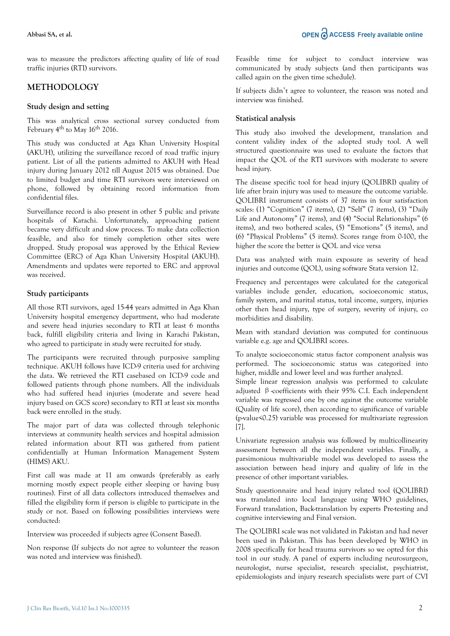was to measure the predictors affecting quality of life of road traffic injuries (RTI) survivors.

### **METHODOLOGY**

#### **Study design and setting**

This was analytical cross sectional survey conducted from February 4th to May 16th 2016.

This study was conducted at Aga Khan University Hospital (AKUH), utilizing the surveillance record of road traffic injury patient. List of all the patients admitted to AKUH with Head injury during January 2012 till August 2015 was obtained. Due to limited budget and time RTI survivors were interviewed on phone, followed by obtaining record information from confidential files.

Surveillance record is also present in other 5 public and private hospitals of Karachi. Unfortunately, approaching patient became very difficult and slow process. To make data collection feasible, and also for timely completion other sites were dropped. Study proposal was approved by the Ethical Review Committee (ERC) of Aga Khan University Hospital (AKUH). Amendments and updates were reported to ERC and approval was received.

#### **Study participants**

All those RTI survivors, aged 15-44 years admitted in Aga Khan University hospital emergency department, who had moderate and severe head injuries secondary to RTI at least 6 months back, fulfill eligibility criteria and living in Karachi Pakistan, who agreed to participate in study were recruited for study.

The participants were recruited through purposive sampling technique. AKUH follows have ICD-9 criteria used for archiving the data. We retrieved the RTI casebased on ICD-9 code and followed patients through phone numbers. All the individuals who had suffered head injuries (moderate and severe head injury based on GCS score) secondary to RTI at least six months back were enrolled in the study.

The major part of data was collected through telephonic interviews at community health services and hospital admission related information about RTI was gathered from patient confidentially at Human Information Management System (HIMS) AKU.

First call was made at 11 am onwards (preferably as early morning mostly expect people either sleeping or having busy routines). First of all data collectors introduced themselves and filled the eligibility form if person is eligible to participate in the study or not. Based on following possibilities interviews were conducted:

Interview was proceeded if subjects agree (Consent Based).

Non response (If subjects do not agree to volunteer the reason was noted and interview was finished).

Feasible time for subject to conduct interview was communicated by study subjects (and then participants was called again on the given time schedule).

If subjects didn't agree to volunteer, the reason was noted and interview was finished.

#### **Statistical analysis**

This study also involved the development, translation and content validity index of the adopted study tool. A well structured questionnaire was used to evaluate the factors that impact the QOL of the RTI survivors with moderate to severe head injury.

The disease specific tool for head injury (QOLIBRI) quality of life after brain injury was used to measure the outcome variable. QOLIBRI instrument consists of 37 items in four satisfaction scales: (1) "Cognition" (7 items), (2) "Self" (7 items), (3) "Daily Life and Autonomy" (7 items), and (4) "Social Relationships" (6 items), and two bothered scales, (5) "Emotions" (5 items), and (6) "Physical Problems" (5 items). Scores range from 0-100, the higher the score the better is QOL and vice versa

Data was analyzed with main exposure as severity of head injuries and outcome (QOL), using software Stata version 12.

Frequency and percentages were calculated for the categorical variables include gender, education, socioeconomic status, family system, and marital status, total income, surgery, injuries other then head injury, type of surgery, severity of injury, co morbidities and disability.

Mean with standard deviation was computed for continuous variable e.g. age and QOLIBRI scores.

To analyze socioeconomic status factor component analysis was performed. The socioeconomic status was categorized into higher, middle and lower level and was further analyzed.

Simple linear regression analysis was performed to calculate adjusted β-coefficients with their 95% C.I. Each independent variable was regressed one by one against the outcome variable (Quality of life score), then according to significance of variable (p-value<0.25) variable was processed for multivariate regression [7].

Univariate regression analysis was followed by multicollinearity assessment between all the independent variables. Finally, a parsimonious multivariable model was developed to assess the association between head injury and quality of life in the presence of other important variables.

Study questionnaire and head injury related tool (QOLIBRI) was translated into local language using WHO guidelines, Forward translation, Back-translation by experts Pre-testing and cognitive interviewing and Final version.

The QOLIBRI scale was not validated in Pakistan and had never been used in Pakistan. This has been developed by WHO in 2008 specifically for head trauma survivors so we opted for this tool in our study. A panel of experts including neurosurgeon, neurologist, nurse specialist, research specialist, psychiatrist, epidemiologists and injury research specialists were part of CVI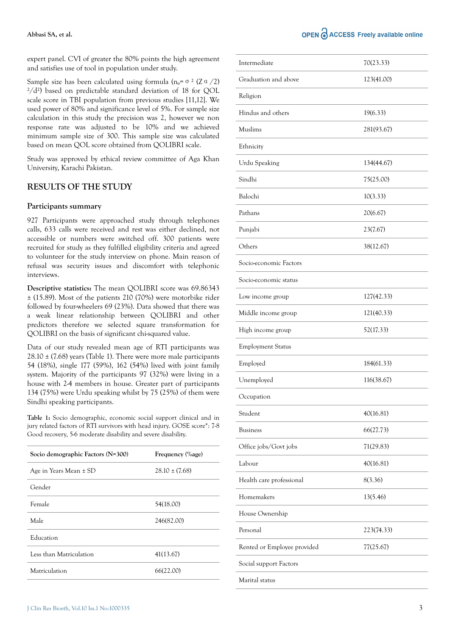#### **Abbasi SA, et al.**

expert panel. CVI of greater the 80% points the high agreement and satisfies use of tool in population under study.

Sample size has been calculated using formula ( $n_0$ =  $\sigma$ <sup>2</sup> (Z $\alpha$  /2)  $\frac{2}{d^2}$ ) based on predictable standard deviation of 18 for QOL scale score in TBI population from previous studies [11,12]. We used power of 80% and significance level of 5%. For sample size calculation in this study the precision was 2, however we non response rate was adjusted to be 10% and we achieved minimum sample size of 300. This sample size was calculated based on mean QOL score obtained from QOLIBRI scale.

Study was approved by ethical review committee of Aga Khan University, Karachi Pakistan.

#### **RESULTS OF THE STUDY**

#### **Participants summary**

927 Participants were approached study through telephones calls, 633 calls were received and rest was either declined, not accessible or numbers were switched off. 300 patients were recruited for study as they fulfilled eligibility criteria and agreed to volunteer for the study interview on phone. Main reason of refusal was security issues and discomfort with telephonic interviews.

**Descriptive statistics:** The mean QOLIBRI score was 69.86343 ± (15.89). Most of the patients 210 (70%) were motorbike rider followed by four-wheelers 69 (23%). Data showed that there was a weak linear relationship between QOLIBRI and other predictors therefore we selected square transformation for QOLIBRI on the basis of significant chi-squared value.

Data of our study revealed mean age of RTI participants was  $28.10 \pm (7.68)$  years (Table 1). There were more male participants 54 (18%), single 177 (59%), 162 (54%) lived with joint family system. Majority of the participants 97 (32%) were living in a house with 2-4 members in house. Greater part of participants 134 (75%) were Urdu speaking whilst by 75 (25%) of them were Sindhi speaking participants.

**Table 1:** Socio demographic, economic social support clinical and in jury related factors of RTI survivors with head injury. GOSE score\*: 7-8 Good recovery, 5-6 moderate disability and severe disability.

| Frequency (%age)   |
|--------------------|
| $28.10 \pm (7.68)$ |
|                    |
| 54(18.00)          |
| 246(82.00)         |
|                    |
| 41(13.67)          |
| 66(22.00)          |
|                    |

| Intermediate                | 70(23.33)  |
|-----------------------------|------------|
| Graduation and above        | 123(41.00) |
| Religion                    |            |
| Hindus and others           | 19(6.33)   |
| Muslims                     | 281(93.67) |
| Ethnicity                   |            |
| Urdu Speaking               | 134(44.67) |
| Sindhi                      | 75(25.00)  |
| Balochi                     | 10(3.33)   |
| Pathans                     | 20(6.67)   |
| Punjabi                     | 23(7.67)   |
| Others                      | 38(12.67)  |
| Socio-economic Factors      |            |
| Socio-economic status       |            |
| Low income group            | 127(42.33) |
| Middle income group         | 121(40.33) |
| High income group           | 52(17.33)  |
| <b>Employment Status</b>    |            |
| Employed                    | 184(61.33) |
| Unemployed                  | 116(38.67) |
| Occupation                  |            |
| Student                     | 40(16.81)  |
| <b>Business</b>             | 66(27.73)  |
| Office jobs/Govt jobs       | 71(29.83)  |
| Labour                      | 40(16.81)  |
| Health care professional    | 8(3.36)    |
| Homemakers                  | 13(5.46)   |
| House Ownership             |            |
| Personal                    | 223(74.33) |
| Rented or Employee provided | 77(25.67)  |
| Social support Factors      |            |
| Marital status              |            |
|                             |            |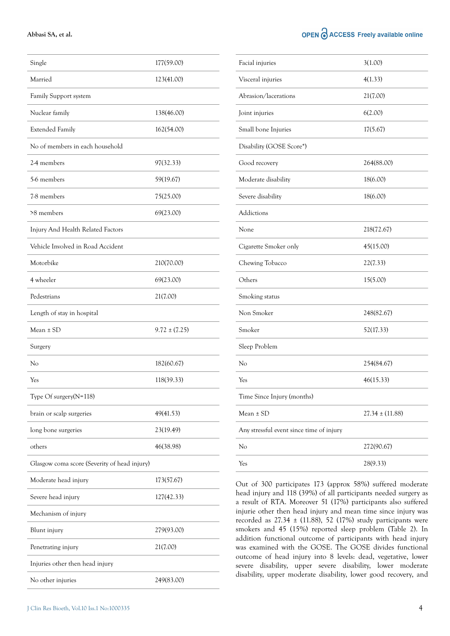#### **Abbasi SA, et al.**

|  | OPEN O ACCESS Freely available online |  |  |
|--|---------------------------------------|--|--|
|  |                                       |  |  |

| Single                                       | 177(59.00)        |
|----------------------------------------------|-------------------|
| Married                                      | 123(41.00)        |
| Family Support system                        |                   |
| Nuclear family                               | 138(46.00)        |
| <b>Extended Family</b>                       | 162(54.00)        |
| No of members in each household              |                   |
| 2-4 members                                  | 97(32.33)         |
| 5-6 members                                  | 59(19.67)         |
| 7-8 members                                  | 75(25.00)         |
| >8 members                                   | 69(23.00)         |
| Injury And Health Related Factors            |                   |
| Vehicle Involved in Road Accident            |                   |
| Motorbike                                    | 210(70.00)        |
| 4 wheeler                                    | 69(23.00)         |
| Pedestrians                                  | 21(7.00)          |
| Length of stay in hospital                   |                   |
| $Mean \pm SD$                                | $9.72 \pm (7.25)$ |
| Surgery                                      |                   |
| No                                           | 182(60.67)        |
| Yes                                          | 118(39.33)        |
| Type Of surgery(N=118)                       |                   |
| brain or scalp surgeries                     | 49(41.53)         |
| long bone surgeries                          | 23(19.49)         |
| others                                       | 46(38.98)         |
| Glasgow coma score (Severity of head injury) |                   |
| Moderate head injury                         | 173(57.67)        |
| Severe head injury                           | 127(42.33)        |
| Mechanism of injury                          |                   |
| Blunt injury                                 | 279(93.00)        |
| Penetrating injury                           | 21(7.00)          |
| Injuries other then head injury              |                   |
| No other injuries                            | 249(83.00)        |

| Facial injuries                          | 3(1.00)             |
|------------------------------------------|---------------------|
| Visceral injuries                        | 4(1.33)             |
| Abrasion/lacerations                     | 21(7.00)            |
| Joint injuries                           | 6(2.00)             |
| Small bone Injuries                      | 17(5.67)            |
| Disability (GOSE Score*)                 |                     |
| Good recovery                            | 264(88.00)          |
| Moderate disability                      | 18(6.00)            |
| Severe disability                        | 18(6.00)            |
| Addictions                               |                     |
| None                                     | 218(72.67)          |
| Cigarette Smoker only                    | 45(15.00)           |
| Chewing Tobacco                          | 22(7.33)            |
| Others                                   | 15(5.00)            |
| Smoking status                           |                     |
| Non Smoker                               | 248(82.67)          |
| Smoker                                   | 52(17.33)           |
| Sleep Problem                            |                     |
| No                                       | 254(84.67)          |
| Yes                                      | 46(15.33)           |
| Time Since Injury (months)               |                     |
| Mean $\pm$ SD                            | $27.34 \pm (11.88)$ |
| Any stressful event since time of injury |                     |
| No                                       | 272(90.67)          |
| Yes                                      | 28(9.33)            |
|                                          |                     |

Out of 300 participates 173 (approx 58%) suffered moderate head injury and 118 (39%) of all participants needed surgery as a result of RTA. Moreover 51 (17%) participants also suffered injurie other then head injury and mean time since injury was recorded as  $27.34 \pm (11.88)$ , 52 (17%) study participants were smokers and 45 (15%) reported sleep problem (Table 2). In addition functional outcome of participants with head injury was examined with the GOSE. The GOSE divides functional outcome of head injury into 8 levels: dead, vegetative, lower severe disability, upper severe disability, lower moderate disability, upper moderate disability, lower good recovery, and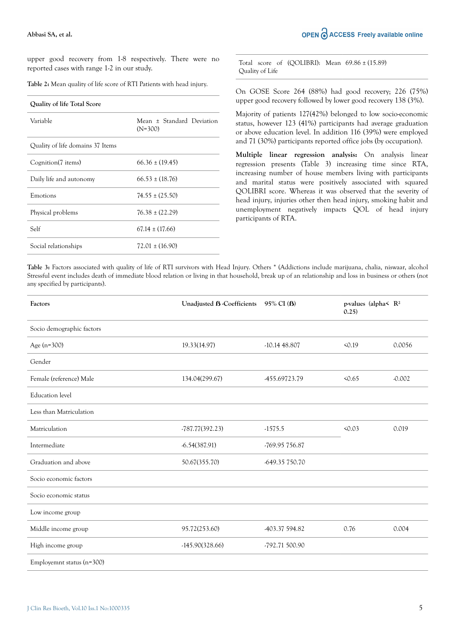upper good recovery from 1-8 respectively. There were no reported cases with range 1-2 in our study.

| Table 2: Mean quality of life score of RTI Patients with head injury. |  |  |  |  |  |  |
|-----------------------------------------------------------------------|--|--|--|--|--|--|
|-----------------------------------------------------------------------|--|--|--|--|--|--|

| <b>Ouality of life Total Score</b> |                                        |
|------------------------------------|----------------------------------------|
| Variable                           | Mean ± Standard Deviation<br>$(N=300)$ |
| Quality of life domains 37 Items   |                                        |
| Cognition(7 items)                 | $66.36 \pm (19.45)$                    |
| Daily life and autonomy            | $66.53 \pm (18.76)$                    |
| Emotions                           | $74.55 \pm (25.50)$                    |
| Physical problems                  | $76.38 \pm (22.29)$                    |
| Self                               | $67.14 \pm (17.66)$                    |
| Social relationships               | $72.01 \pm (16.90)$                    |

Total score of (QOLIBRI): Mean 69.86 ± (15.89) Quality of Life

On GOSE Score 264 (88%) had good recovery; 226 (75%) upper good recovery followed by lower good recovery 138 (3%).

Majority of patients 127(42%) belonged to low socio-economic status, however 123 (41%) participants had average graduation or above education level. In addition 116 (39%) were employed and 71 (30%) participants reported office jobs (by occupation).

**Multiple linear regression analysis:** On analysis linear regression presents (Table 3) increasing time since RTA, increasing number of house members living with participants and marital status were positively associated with squared QOLIBRI score. Whereas it was observed that the severity of head injury, injuries other then head injury, smoking habit and unemployment negatively impacts QOL of head injury participants of RTA.

**Table 3:** Factors associated with quality of life of RTI survivors with Head Injury. Others \* (Addictions include marijuana, chalia, niswaar, alcohol Stressful event includes death of immediate blood relation or living in that household, break up of an relationship and loss in business or others (not any specified by participants).

| Factors                   | Unadjusted <b>B</b> -Coefficients | 95% CI ( <b>B</b> ) | p-values (alpha $\leq R^2$<br>0.25) |          |
|---------------------------|-----------------------------------|---------------------|-------------------------------------|----------|
| Socio demographic factors |                                   |                     |                                     |          |
| Age $(n=300)$             | 19.33(14.97)                      | $-10.1448.807$      | 50.19                               | 0.0056   |
| Gender                    |                                   |                     |                                     |          |
| Female (reference) Male   | 134.04(299.67)                    | -455.69723.79       | 50.65                               | $-0.002$ |
| <b>Education</b> level    |                                   |                     |                                     |          |
| Less than Matriculation   |                                   |                     |                                     |          |
| Matriculation             | $-787.77(392.23)$                 | $-1575.5$           | 50.03                               | 0.019    |
| Intermediate              | $-6.54(387.91)$                   | -769.95 756.87      |                                     |          |
| Graduation and above      | 50.67(355.70)                     | -649.35 750.70      |                                     |          |
| Socio economic factors    |                                   |                     |                                     |          |
| Socio economic status     |                                   |                     |                                     |          |
| Low income group          |                                   |                     |                                     |          |
| Middle income group       | 95.72(253.60)                     | -403.37 594.82      | 0.76                                | 0.004    |
| High income group         | $-145.90(328.66)$                 | -792.71 500.90      |                                     |          |
| Employemnt status (n=300) |                                   |                     |                                     |          |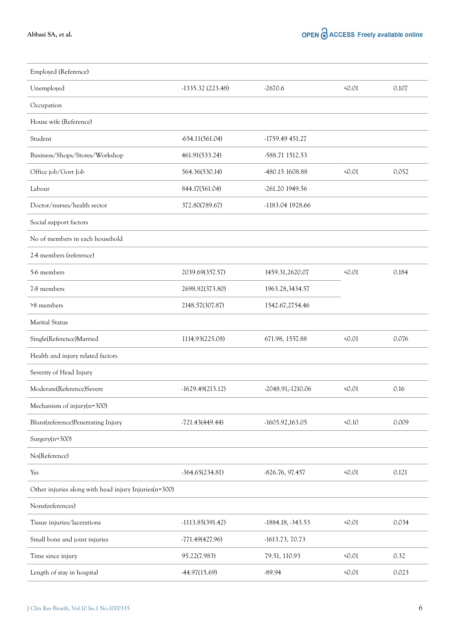| Employed (Reference)                                  |                    |                     |       |       |
|-------------------------------------------------------|--------------------|---------------------|-------|-------|
| Unemployed                                            | $-1335.32(223.48)$ | $-2670.6$           | 50.01 | 0.107 |
| Occupation                                            |                    |                     |       |       |
| House wife (Reference)                                |                    |                     |       |       |
| Student                                               | $-654.11(561.04)$  | -1759.49 451.27     |       |       |
| Business/Shops/Stores/Workshop                        | 461.91(533.24)     | -588.71 1512.53     |       |       |
| Office job/Govt Job                                   | 564.36(530.14)     | -480.15 1608.88     | 50.01 | 0.052 |
| Labour                                                | 844.17(561.04)     | -261.20 1949.56     |       |       |
| Doctor/nurses/health sector                           | 372.80(789.67)     | -1183.04 1928.66    |       |       |
| Social support factors                                |                    |                     |       |       |
| No of members in each household                       |                    |                     |       |       |
| 2-4 members (reference)                               |                    |                     |       |       |
| 5-6 members                                           | 2039.69(357.57)    | 1459.31,2620.07     | 50.01 | 0.184 |
| 7-8 members                                           | 2698.92(373.80)    | 1963.28,3434.57     |       |       |
| >8 members                                            | 2148.57(307.87)    | 1542.67,2754.46     |       |       |
| <b>Marital Status</b>                                 |                    |                     |       |       |
| Single(Reference)Married                              | 1114.93(225.08)    | 671.98, 1557.88     | 50.01 | 0.076 |
| Health and injury related factors                     |                    |                     |       |       |
| Severity of Head Injury                               |                    |                     |       |       |
| Moderate(Reference)Severe                             | $-1629.49(213.12)$ | -2048.91,-1210.06   | 50.01 | 0.16  |
| Mechanism of injury(n=300)                            |                    |                     |       |       |
| Blunt(reference)Penetrating Injury                    | $-721.43(449.44)$  | $-1605.92,163.05$   | 50.10 | 0.009 |
| $Surgery(n=300)$                                      |                    |                     |       |       |
| No(Reference)                                         |                    |                     |       |       |
| Yes                                                   | $-364.65(234.81)$  | -826.76, 97.457     | 50.01 | 0.121 |
| Other injuries along with head injury Injuries(n=300) |                    |                     |       |       |
| None(references)                                      |                    |                     |       |       |
| Tissue injuries/lacerations                           | $-1113.85(391.42)$ | $-1884.18, -343.53$ | 50.01 | 0.034 |
| Small bone and joint injuries                         | $-771.49(427.96)$  | $-1613.73, 70.73$   |       |       |
| Time since injury                                     | 95.22(7.983)       | 79.51, 110.93       | 50.01 | 0.32  |
| Length of stay in hospital                            | $-44.97(15.69)$    | $-89.94$            | 50.01 | 0.023 |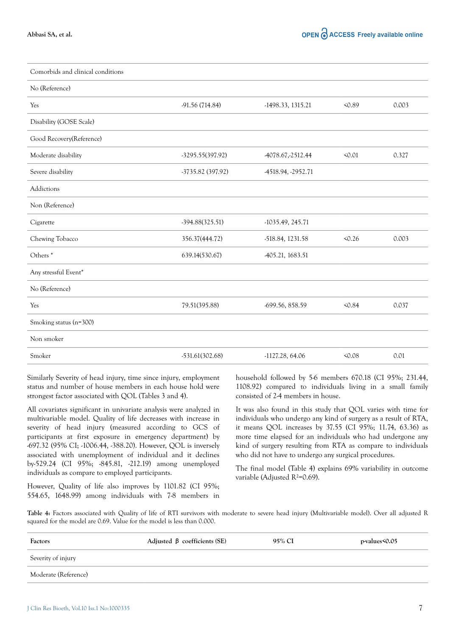| Comorbids and clinical conditions |                   |                    |        |       |
|-----------------------------------|-------------------|--------------------|--------|-------|
| No (Reference)                    |                   |                    |        |       |
| Yes                               | -91.56 (714.84)   | -1498.33, 1315.21  | < 0.89 | 0.003 |
| Disability (GOSE Scale)           |                   |                    |        |       |
| Good Recovery(Reference)          |                   |                    |        |       |
| Moderate disability               | -3295.55(397.92)  | 4078.67, -2512.44  | 50.01  | 0.327 |
| Severe disability                 | -3735.82 (397.92) | 4518.94, -2952.71  |        |       |
| Addictions                        |                   |                    |        |       |
| Non (Reference)                   |                   |                    |        |       |
| Cigarette                         | $-394.88(325.51)$ | $-1035.49, 245.71$ |        |       |
| Chewing Tobacco                   | 356.37(444.72)    | -518.84, 1231.58   | 50.26  | 0.003 |
| Others <sup>*</sup>               | 639.14(530.67)    | 405.21, 1683.51    |        |       |
| Any stressful Event*              |                   |                    |        |       |
| No (Reference)                    |                   |                    |        |       |
| Yes                               | 79.51(395.88)     | -699.56, 858.59    | 50.84  | 0.037 |
| Smoking status (n=300)            |                   |                    |        |       |
| Non smoker                        |                   |                    |        |       |
| Smoker                            | $-531.61(302.68)$ | $-1127.28, 64.06$  | 50.08  | 0.01  |

Similarly Severity of head injury, time since injury, employment status and number of house members in each house hold were strongest factor associated with QOL (Tables 3 and 4).

All covariates significant in univariate analysis were analyzed in multivariable model. Quality of life decreases with increase in severity of head injury (measured according to GCS of participants at first exposure in emergency department) by -697.32 (95% CI; -1006.44, -388.20). However, QOL is inversely associated with unemployment of individual and it declines by-529.24 (CI 95%; -845.81, -212.19) among unemployed individuals as compare to employed participants.

However, Quality of life also improves by 1101.82 (CI 95%; 554.65, 1648.99) among individuals with 7-8 members in household followed by 5-6 members 670.18 (CI 95%; 231.44, 1108.92) compared to individuals living in a small family consisted of 2-4 members in house.

It was also found in this study that QOL varies with time for individuals who undergo any kind of surgery as a result of RTA, it means QOL increases by 37.55 (CI 95%; 11.74, 63.36) as more time elapsed for an individuals who had undergone any kind of surgery resulting from RTA as compare to individuals who did not have to undergo any surgical procedures.

The final model (Table 4) explains 69% variability in outcome variable (Adjusted R²=0.69).

**Table 4:** Factors associated with Quality of life of RTI survivors with moderate to severe head injury (Multivariable model). Over all adjusted R squared for the model are 0.69. Value for the model is less than 0.000.

| Factors              | Adjusted $\beta$ coefficients (SE) | 95% CI | p-values<0.05 |
|----------------------|------------------------------------|--------|---------------|
| Severity of injury   |                                    |        |               |
| Moderate (Reference) |                                    |        |               |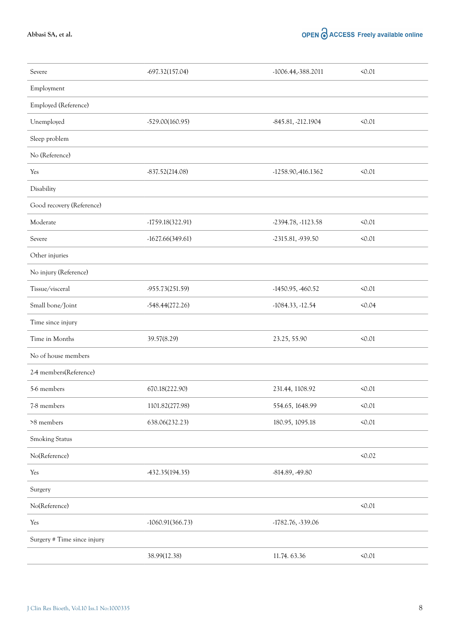**Abbasi SA, et al.**

## OPEN O ACCESS Freely available online

| Severe                      | $-697.32(157.04)$  | -1006.44,-388.2011  | 50.01  |
|-----------------------------|--------------------|---------------------|--------|
| Employment                  |                    |                     |        |
| Employed (Reference)        |                    |                     |        |
| Unemployed                  | -529.00(160.95)    | -845.81, -212.1904  | 50.01  |
| Sleep problem               |                    |                     |        |
| No (Reference)              |                    |                     |        |
| Yes                         | $-837.52(214.08)$  | -1258.90,-416.1362  | 50.01  |
| Disability                  |                    |                     |        |
| Good recovery (Reference)   |                    |                     |        |
| Moderate                    | $-1759.18(322.91)$ | -2394.78, -1123.58  | 50.01  |
| Severe                      | $-1627.66(349.61)$ | -2315.81, -939.50   | 50.01  |
| Other injuries              |                    |                     |        |
| No injury (Reference)       |                    |                     |        |
| Tissue/visceral             | -955.73(251.59)    | $-1450.95, 460.52$  | 50.01  |
| Small bone/Joint            | $-548.44(272.26)$  | $-1084.33, -12.54$  | 50.04  |
| Time since injury           |                    |                     |        |
| Time in Months              | 39.57(8.29)        | 23.25, 55.90        | 50.01  |
| No of house members         |                    |                     |        |
| 2-4 members(Reference)      |                    |                     |        |
| 5-6 members                 | 670.18(222.90)     | 231.44, 1108.92     | 50.01  |
| 7-8 members                 | 1101.82(277.98)    | 554.65, 1648.99     | 50.01  |
| >8 members                  | 638.06(232.23)     | 180.95, 1095.18     | 50.01  |
| Smoking Status              |                    |                     |        |
| No(Reference)               |                    |                     | < 0.02 |
| Yes                         | -432.35(194.35)    | -814.89, -49.80     |        |
| Surgery                     |                    |                     |        |
| No(Reference)               |                    |                     | 50.01  |
| Yes                         | $-1060.91(366.73)$ | $-1782.76, -339.06$ |        |
| Surgery # Time since injury |                    |                     |        |
|                             | 38.99(12.38)       | 11.74.63.36         | 50.01  |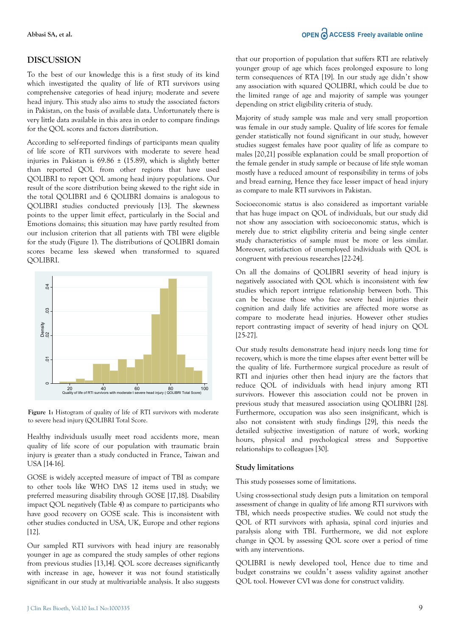## **DISCUSSION**

To the best of our knowledge this is a first study of its kind which investigated the quality of life of RTI survivors using comprehensive categories of head injury; moderate and severe head injury. This study also aims to study the associated factors in Pakistan, on the basis of available data. Unfortunately there is very little data available in this area in order to compare findings for the QOL scores and factors distribution.

According to self-reported findings of participants mean quality of life score of RTI survivors with moderate to severe head injuries in Pakistan is  $69.86 \pm (15.89)$ , which is slightly better than reported QOL from other regions that have used QOLIBRI to report QOL among head injury populations. Our result of the score distribution being skewed to the right side in the total QOLIBRI and 6 QOLIBRI domains is analogous to QOLIBRI studies conducted previously [13]. The skewness points to the upper limit effect, particularly in the Social and Emotions domains; this situation may have partly resulted from our inclusion criterion that all patients with TBI were eligible for the study (Figure 1). The distributions of QOLIBRI domain scores became less skewed when transformed to squared QOLIBRI.



**Figure 1:** Histogram of quality of life of RTI survivors with moderate to severe head injury (QOLIBRI Total Score.

Healthy individuals usually meet road accidents more, mean quality of life score of our population with traumatic brain injury is greater than a study conducted in France, Taiwan and USA [14-16].

GOSE is widely accepted measure of impact of TBI as compare to other tools like WHO DAS 12 items used in study; we preferred measuring disability through GOSE [17,18]. Disability impact QOL negatively (Table 4) as compare to participants who have good recovery on GOSE scale. This is inconsistent with other studies conducted in USA, UK, Europe and other regions [12].

Our sampled RTI survivors with head injury are reasonably younger in age as compared the study samples of other regions from previous studies [13,14]. QOL score decreases significantly with increase in age, however it was not found statistically significant in our study at multivariable analysis. It also suggests that our proportion of population that suffers RTI are relatively younger group of age which faces prolonged exposure to long term consequences of RTA [19]. In our study age didn't show any association with squared QOLIBRI, which could be due to the limited range of age and majority of sample was younger depending on strict eligibility criteria of study.

Majority of study sample was male and very small proportion was female in our study sample. Quality of life scores for female gender statistically not found significant in our study, however studies suggest females have poor quality of life as compare to males [20,21] possible explanation could be small proportion of the female gender in study sample or because of life style woman mostly have a reduced amount of responsibility in terms of jobs and bread earning, Hence they face lesser impact of head injury as compare to male RTI survivors in Pakistan.

Socioeconomic status is also considered as important variable that has huge impact on QOL of individuals, but our study did not show any association with socioeconomic status, which is merely due to strict eligibility criteria and being single center study characteristics of sample must be more or less similar. Moreover, satisfaction of unemployed individuals with QOL is congruent with previous researches [22-24].

On all the domains of QOLIBRI severity of head injury is negatively associated with QOL which is inconsistent with few studies which report intrigue relationship between both. This can be because those who face severe head injuries their cognition and daily life activities are affected more worse as compare to moderate head injuries. However other studies report contrasting impact of severity of head injury on QOL [25-27].

Our study results demonstrate head injury needs long time for recovery, which is more the time elapses after event better will be the quality of life. Furthermore surgical procedure as result of RTI and injuries other then head injury are the factors that reduce QOL of individuals with head injury among RTI survivors. However this association could not be proven in previous study that measured association using QOLIBRI [28]. Furthermore, occupation was also seen insignificant, which is also not consistent with study findings [29], this needs the detailed subjective investigation of nature of work, working hours, physical and psychological stress and Supportive relationships to colleagues [30].

#### **Study limitations**

This study possesses some of limitations.

Using cross-sectional study design puts a limitation on temporal assessment of change in quality of life among RTI survivors with TBI, which needs prospective studies. We could not study the QOL of RTI survivors with aphasia, spinal cord injuries and paralysis along with TBI. Furthermore, we did not explore change in QOL by assessing QOL score over a period of time with any interventions.

QOLIBRI is newly developed tool, Hence due to time and budget constrains we couldn't assess validity against another QOL tool. However CVI was done for construct validity.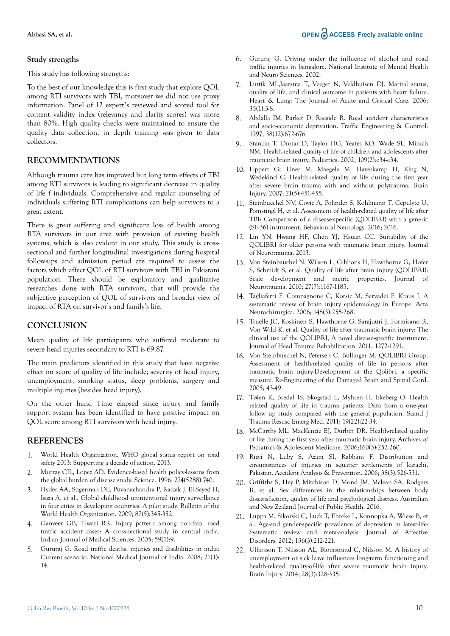#### **Study strengths**

This study has following strengths:

To the best of our knowledge this is first study that explore QOL among RTI survivors with TBI, moreover we did not use proxy information. Panel of 12 expert's reviewed and scored tool for content validity index (relevancy and clarity scores) was more than 80%. High quality checks were maintained to ensure the quality data collection, in depth training was given to data collectors.

#### **RECOMMENDATIONS**

Although trauma care has improved but long term effects of TBI among RTI survivors is leading to significant decrease in quality of life f individuals. Comprehensive and regular counseling of individuals suffering RTI complications can help survivors to a great extent.

There is great suffering and significant loss of health among RTA survivors in our area with provision of existing health systems, which is also evident in our study. This study is crosssectional and further longitudinal investigations during hospital follow-ups and admission period are required to assess the factors which affect QOL of RTI survivors with TBI in Pakistani population. There should be exploratory and qualitative researches done with RTA survivors, that will provide the subjective perception of QOL of survivors and broader view of impact of RTA on survivor's and family's life.

#### **CONCLUSION**

Mean quality of life participants who suffered moderate to severe head injuries secondary to RTI is 69.87.

The main predictors identified in this study that have negative effect on score of quality of life include; severity of head injury, unemployment, smoking status, sleep problems, surgery and multiple injuries (besides head injury).

On the other hand Time elapsed since injury and family support system has been identified to have positive impact on QOL score among RTI survivors with head injury.

#### **REFERENCES**

- 1. World Health Organization. WHO global status report on road safety 2013: Supporting a decade of action. 2013.
- 2. Murray CJL, Lopez AD. Evidence-based health policy-lessons from the global burden of disease study. Science. 1996; 274(5288):740.
- 3. Hyder AA, Sugerman DE, Puvanachandra P, Razzak J, El-Sayed H, Isaza A, et al., Global childhood unintentional injury surveillance in four cities in developing countries: A pilot study. Bulletin of the World Health Organization. 2009; 87(5):345-352.
- 4. Ganveer GB, Tiwari RR. Injury pattern among non-fatal road traffic accident cases: A cross-sectional study in central india. Indian Journal of Medical Sciences. 2005; 59(1):9.
- 5. Gururaj G. Road traffic deaths, injuries and disabilities in india: Current scenario. National Medical Journal of India. 2008; 21(1): 14.
- 6. Gururaj G. Driving under the influence of alcohol and road traffic injuries in bangalore. National Institute of Mental Health and Neuro Sciences. 2002.
- 7. Luttik ML,Jaarsma T, Veeger N, Veldhuisen DJ. Marital status, quality of life, and clinical outcome in patients with heart failure. Heart & Lung: The Journal of Acute and Critical Care. 2006; 35(1):3-8.
- 8. Abdalla IM, Barker D, Raeside R. Road accident characteristics and socio-economic deprivation. Traffic Engineering & Control. 1997; 38(12):672-676.
- 9. Stancin T, Drotar D, Taylor HG, Yeates KO, Wade SL, Minich NM. Health-related quality of life of children and adolescents after traumatic brain injury. Pediatrics. 2002; 109(2):e34-e34.
- 10. Lippert Gr Uner M, Maegele M, Haverkamp H, Klug N, Wedekind C. Health-related quality of life during the first year after severe brain trauma with and without polytrauma. Brain Injury. 2007; 21(5):451-455.
- 11. Steinbuechel NV, Covic A, Polinder S, Kohlmann T, Cepulyte U, Poinstingl H, et al. Assessment of health-related quality of life after TBI: Comparison of a disease-specific (QOLIBRI) with a generic (SF-36) instrument. Behavioural Neurology. 2016; 2016.
- 12. Lin YN, Hwang HF, Chen YJ, Hsuan CC. Suitability of the QOLIBRI for older persons with traumatic brain injury. Journal of Neurotrauma. 2013.
- 13. Von Steinbauchel N, Wilson L, Gibbons H, Hawthorne G, Hofer S, Schmidt S, et al. Quality of life after brain injury (QOLIBRI): Scale development and metric properties. Journal of Neurotrauma. 2010; 27(7):1167-1185.
- 14. Tagliaferri F. Compagnone C, Korsic M, Servadei F, Kraus J. A systematic review of brain injury epidemiology in Europe. Acta Neurochirurgica. 2006; 148(3):255-268.
- 15. Truelle JC, Koskinen S, Hawthorne G, Sarajuuri J, Formisano R, Von Wild K. et al. Quality of life after traumatic brain injury: The clinical use of the QOLIBRI, A novel disease-specific instrument. Journal of Head Trauma Rehabilitation. 2011; 1272-1291.
- 16. Von Steinbuechel N, Petersen C, Bullinger M, QOLIBRI Group. Assessment of health-related quality of life in persons after traumatic brain injury-Development of the Qolibri, a specific measure. Re-Engineering of the Damaged Brain and Spinal Cord. 2005; 43-49.
- 17. Tøien K, Bredal IS, Skogstad L, Myhren H, Ekeberg O. Health related quality of life in trauma patients. Data from a one-year follow up study compared with the general population. Scand J Trauma Resusc Emerg Med. 2011; 19(22):22-34.
- 18. McCarthy ML, MacKenzie EJ, Durbin DR. Health-related quality of life during the first year after traumatic brain injury. Archives of Pediatrics & Adolescent Medicine. 2006;160(3):252-260.
- 19. Rizvi N, Luby S, Azam SI, Rabbani F. Distribution and circumstances of injuries in squatter settlements of karachi, Pakistan. Accident Analysis & Prevention. 2006; 38(3):526-531.
- 20. Griffiths S, Hey P, Mitchison D, Mond JM, Mclean SA, Rodgers B, et al. Sex differences in the relationships between body dissatisfaction, quality of life and psychological distress. Australian and New Zealand Journal of Public Health. 2016.
- 21. Luppa M, Sikorski C, Luck T, Ehreke L, Konnopka A, Wiese B, et al. Age-and gender-specific prevalence of depression in latest-life-Systematic review and meta-analysis. Journal of Affective Disorders. 2012; 136(3):212-221.
- 22. Ulfarsson T, Nilsson AL, Blomstrand C, Nilsson M. A history of unemployment or sick leave influences long-term functioning and health-related quality-of-life after severe traumatic brain injury. Brain Injury. 2014; 28(3):328-335.